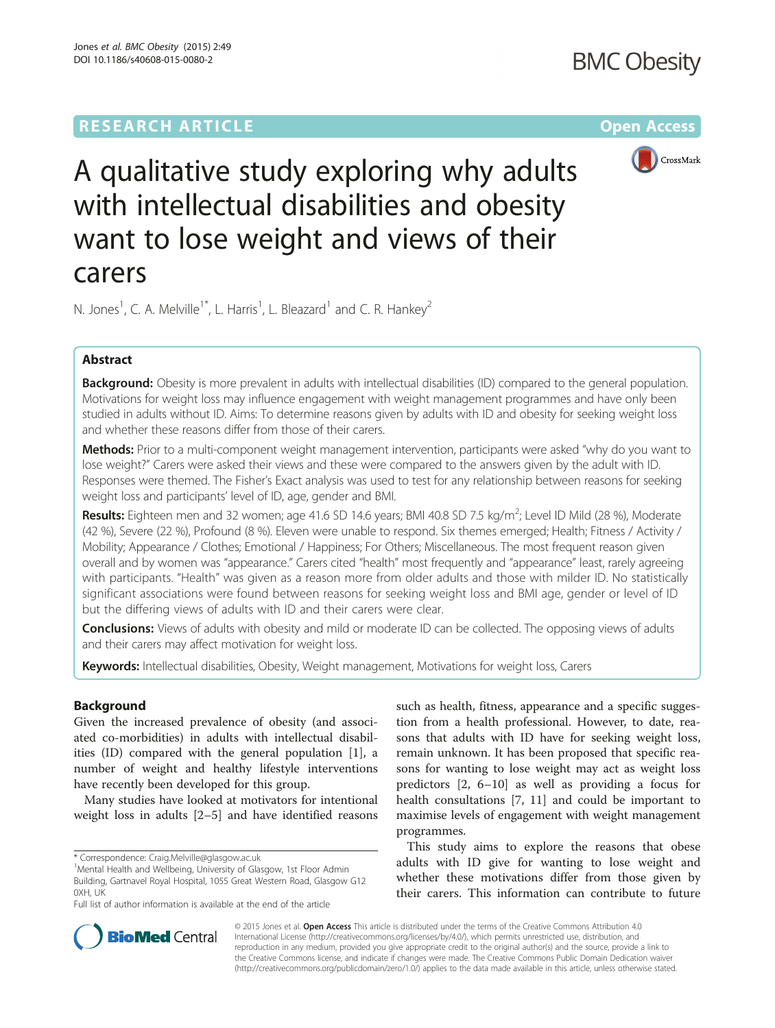# **RESEARCH ARTICLE External Structure Community Community Community Community Community Community Community Community**



A qualitative study exploring why adults with intellectual disabilities and obesity want to lose weight and views of their carers

N. Jones<sup>1</sup>, C. A. Melville<sup>1\*</sup>, L. Harris<sup>1</sup>, L. Bleazard<sup>1</sup> and C. R. Hankey<sup>2</sup>

# Abstract

**Background:** Obesity is more prevalent in adults with intellectual disabilities (ID) compared to the general population. Motivations for weight loss may influence engagement with weight management programmes and have only been studied in adults without ID. Aims: To determine reasons given by adults with ID and obesity for seeking weight loss and whether these reasons differ from those of their carers.

Methods: Prior to a multi-component weight management intervention, participants were asked "why do you want to lose weight?" Carers were asked their views and these were compared to the answers given by the adult with ID. Responses were themed. The Fisher's Exact analysis was used to test for any relationship between reasons for seeking weight loss and participants' level of ID, age, gender and BMI.

Results: Eighteen men and 32 women; age 41.6 SD 14.6 years; BMI 40.8 SD 7.5 kg/m<sup>2</sup>; Level ID Mild (28 %), Moderate (42 %), Severe (22 %), Profound (8 %). Eleven were unable to respond. Six themes emerged; Health; Fitness / Activity / Mobility; Appearance / Clothes; Emotional / Happiness; For Others; Miscellaneous. The most frequent reason given overall and by women was "appearance." Carers cited "health" most frequently and "appearance" least, rarely agreeing with participants. "Health" was given as a reason more from older adults and those with milder ID. No statistically significant associations were found between reasons for seeking weight loss and BMI age, gender or level of ID but the differing views of adults with ID and their carers were clear.

**Conclusions:** Views of adults with obesity and mild or moderate ID can be collected. The opposing views of adults and their carers may affect motivation for weight loss.

Keywords: Intellectual disabilities, Obesity, Weight management, Motivations for weight loss, Carers

# Background

Given the increased prevalence of obesity (and associated co-morbidities) in adults with intellectual disabilities (ID) compared with the general population [\[1](#page-5-0)], a number of weight and healthy lifestyle interventions have recently been developed for this group.

Many studies have looked at motivators for intentional weight loss in adults [[2](#page-5-0)–[5\]](#page-5-0) and have identified reasons

such as health, fitness, appearance and a specific suggestion from a health professional. However, to date, reasons that adults with ID have for seeking weight loss, remain unknown. It has been proposed that specific reasons for wanting to lose weight may act as weight loss predictors [[2](#page-5-0), [6](#page-5-0)–[10\]](#page-5-0) as well as providing a focus for health consultations [[7, 11](#page-5-0)] and could be important to maximise levels of engagement with weight management programmes.

This study aims to explore the reasons that obese adults with ID give for wanting to lose weight and whether these motivations differ from those given by their carers. This information can contribute to future



© 2015 Jones et al. Open Access This article is distributed under the terms of the Creative Commons Attribution 4.0 International License [\(http://creativecommons.org/licenses/by/4.0/](http://creativecommons.org/licenses/by/4.0/)), which permits unrestricted use, distribution, and reproduction in any medium, provided you give appropriate credit to the original author(s) and the source, provide a link to the Creative Commons license, and indicate if changes were made. The Creative Commons Public Domain Dedication waiver [\(http://creativecommons.org/publicdomain/zero/1.0/](http://creativecommons.org/publicdomain/zero/1.0/)) applies to the data made available in this article, unless otherwise stated.

<sup>\*</sup> Correspondence: [Craig.Melville@glasgow.ac.uk](mailto:Craig.Melville@glasgow.ac.uk) <sup>1</sup>

<sup>&</sup>lt;sup>1</sup> Mental Health and Wellbeing, University of Glasgow, 1st Floor Admin Building, Gartnavel Royal Hospital, 1055 Great Western Road, Glasgow G12 0XH, UK

Full list of author information is available at the end of the article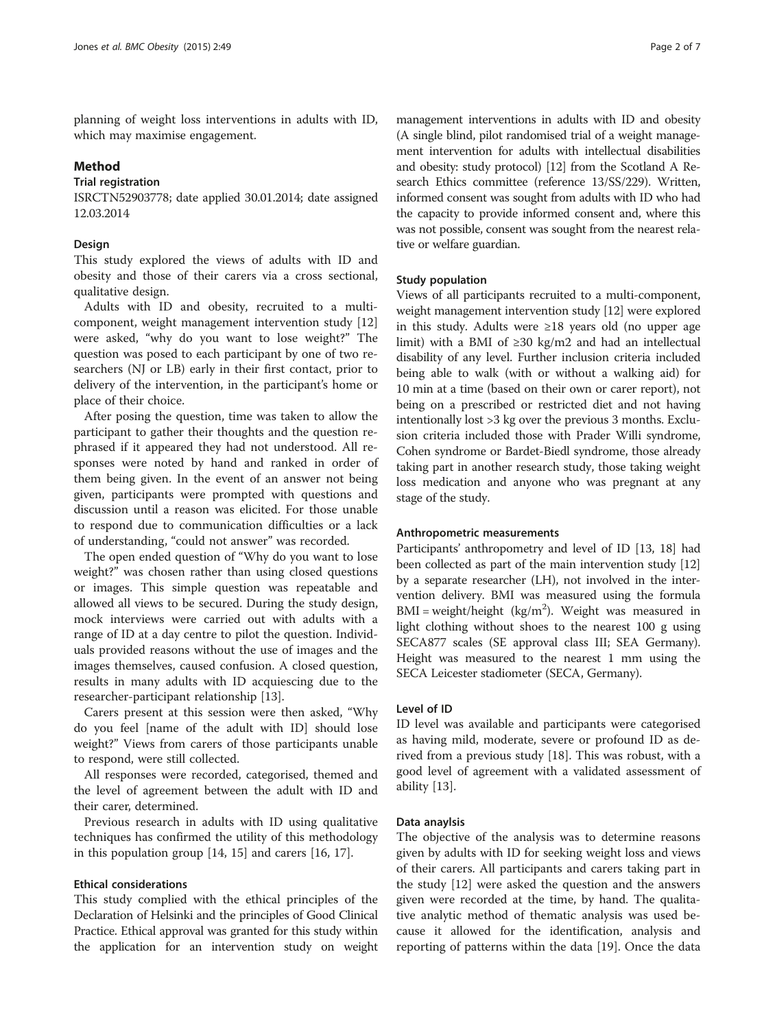planning of weight loss interventions in adults with ID, which may maximise engagement.

### Method

# Trial registration

ISRCTN52903778; date applied 30.01.2014; date assigned 12.03.2014

### Design

This study explored the views of adults with ID and obesity and those of their carers via a cross sectional, qualitative design.

Adults with ID and obesity, recruited to a multicomponent, weight management intervention study [[12](#page-5-0)] were asked, "why do you want to lose weight?" The question was posed to each participant by one of two researchers (NJ or LB) early in their first contact, prior to delivery of the intervention, in the participant's home or place of their choice.

After posing the question, time was taken to allow the participant to gather their thoughts and the question rephrased if it appeared they had not understood. All responses were noted by hand and ranked in order of them being given. In the event of an answer not being given, participants were prompted with questions and discussion until a reason was elicited. For those unable to respond due to communication difficulties or a lack of understanding, "could not answer" was recorded.

The open ended question of "Why do you want to lose weight?" was chosen rather than using closed questions or images. This simple question was repeatable and allowed all views to be secured. During the study design, mock interviews were carried out with adults with a range of ID at a day centre to pilot the question. Individuals provided reasons without the use of images and the images themselves, caused confusion. A closed question, results in many adults with ID acquiescing due to the researcher-participant relationship [[13](#page-5-0)].

Carers present at this session were then asked, "Why do you feel [name of the adult with ID] should lose weight?" Views from carers of those participants unable to respond, were still collected.

All responses were recorded, categorised, themed and the level of agreement between the adult with ID and their carer, determined.

Previous research in adults with ID using qualitative techniques has confirmed the utility of this methodology in this population group [[14](#page-5-0), [15](#page-5-0)] and carers [[16,](#page-5-0) [17\]](#page-6-0).

# Ethical considerations

This study complied with the ethical principles of the Declaration of Helsinki and the principles of Good Clinical Practice. Ethical approval was granted for this study within the application for an intervention study on weight

management interventions in adults with ID and obesity (A single blind, pilot randomised trial of a weight management intervention for adults with intellectual disabilities and obesity: study protocol) [[12](#page-5-0)] from the Scotland A Research Ethics committee (reference 13/SS/229). Written, informed consent was sought from adults with ID who had the capacity to provide informed consent and, where this was not possible, consent was sought from the nearest relative or welfare guardian.

### Study population

Views of all participants recruited to a multi-component, weight management intervention study [\[12\]](#page-5-0) were explored in this study. Adults were ≥18 years old (no upper age limit) with a BMI of  $\geq 30$  kg/m2 and had an intellectual disability of any level. Further inclusion criteria included being able to walk (with or without a walking aid) for 10 min at a time (based on their own or carer report), not being on a prescribed or restricted diet and not having intentionally lost >3 kg over the previous 3 months. Exclusion criteria included those with Prader Willi syndrome, Cohen syndrome or Bardet-Biedl syndrome, those already taking part in another research study, those taking weight loss medication and anyone who was pregnant at any stage of the study.

### Anthropometric measurements

Participants' anthropometry and level of ID [\[13](#page-5-0), [18\]](#page-6-0) had been collected as part of the main intervention study [[12](#page-5-0)] by a separate researcher (LH), not involved in the intervention delivery. BMI was measured using the formula  $BMI = weight/height (kg/m<sup>2</sup>)$ . Weight was measured in light clothing without shoes to the nearest 100 g using SECA877 scales (SE approval class III; SEA Germany). Height was measured to the nearest 1 mm using the SECA Leicester stadiometer (SECA, Germany).

## Level of ID

ID level was available and participants were categorised as having mild, moderate, severe or profound ID as derived from a previous study [\[18](#page-6-0)]. This was robust, with a good level of agreement with a validated assessment of ability [[13](#page-5-0)].

### Data anaylsis

The objective of the analysis was to determine reasons given by adults with ID for seeking weight loss and views of their carers. All participants and carers taking part in the study [[12\]](#page-5-0) were asked the question and the answers given were recorded at the time, by hand. The qualitative analytic method of thematic analysis was used because it allowed for the identification, analysis and reporting of patterns within the data [[19\]](#page-6-0). Once the data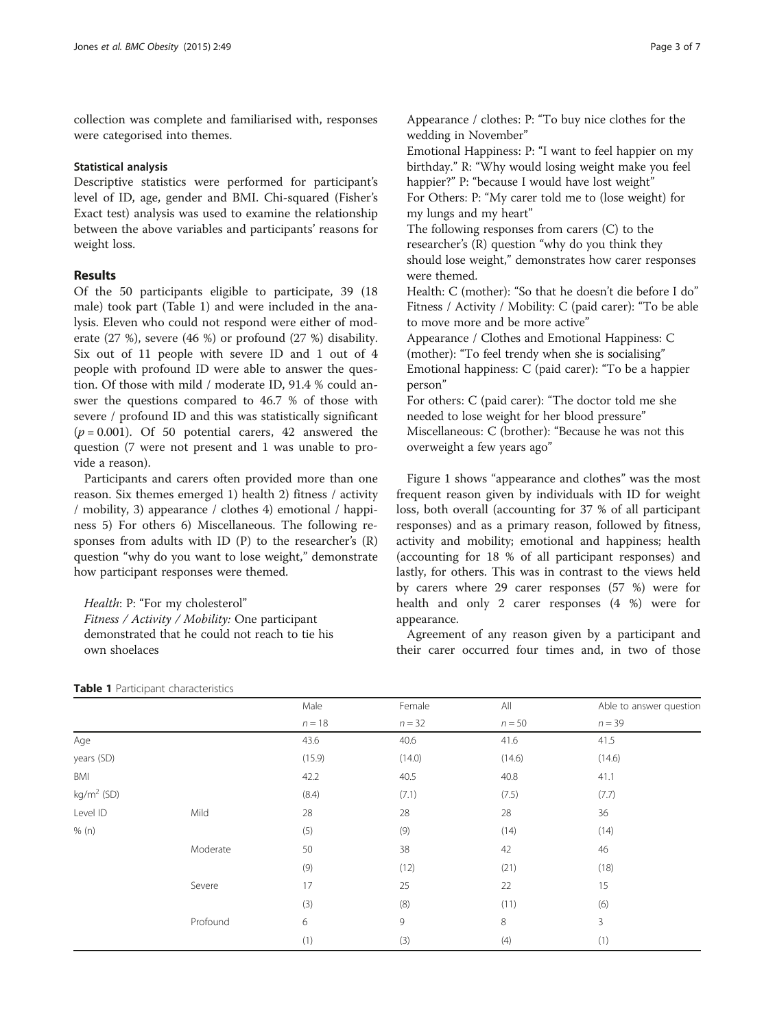collection was complete and familiarised with, responses were categorised into themes.

### Statistical analysis

Descriptive statistics were performed for participant's level of ID, age, gender and BMI. Chi-squared (Fisher's Exact test) analysis was used to examine the relationship between the above variables and participants' reasons for weight loss.

# Results

Of the 50 participants eligible to participate, 39 (18 male) took part (Table 1) and were included in the analysis. Eleven who could not respond were either of moderate (27 %), severe (46 %) or profound (27 %) disability. Six out of 11 people with severe ID and 1 out of 4 people with profound ID were able to answer the question. Of those with mild / moderate ID, 91.4 % could answer the questions compared to 46.7 % of those with severe / profound ID and this was statistically significant  $(p = 0.001)$ . Of 50 potential carers, 42 answered the question (7 were not present and 1 was unable to provide a reason).

Participants and carers often provided more than one reason. Six themes emerged 1) health 2) fitness / activity / mobility, 3) appearance / clothes 4) emotional / happiness 5) For others 6) Miscellaneous. The following responses from adults with ID  $(P)$  to the researcher's  $(R)$ question "why do you want to lose weight," demonstrate how participant responses were themed.

# Health: P: "For my cholesterol"

Fitness / Activity / Mobility: One participant demonstrated that he could not reach to tie his own shoelaces

Appearance / clothes: P: "To buy nice clothes for the wedding in November"

Emotional Happiness: P: "I want to feel happier on my birthday." R: "Why would losing weight make you feel happier?" P: "because I would have lost weight"

For Others: P: "My carer told me to (lose weight) for my lungs and my heart"

The following responses from carers (C) to the researcher's (R) question "why do you think they should lose weight," demonstrates how carer responses were themed.

Health: C (mother): "So that he doesn't die before I do" Fitness / Activity / Mobility: C (paid carer): "To be able to move more and be more active"

Appearance / Clothes and Emotional Happiness: C (mother): "To feel trendy when she is socialising" Emotional happiness: C (paid carer): "To be a happier person"

For others: C (paid carer): "The doctor told me she needed to lose weight for her blood pressure" Miscellaneous: C (brother): "Because he was not this overweight a few years ago"

Figure [1](#page-3-0) shows "appearance and clothes" was the most frequent reason given by individuals with ID for weight loss, both overall (accounting for 37 % of all participant responses) and as a primary reason, followed by fitness, activity and mobility; emotional and happiness; health (accounting for 18 % of all participant responses) and lastly, for others. This was in contrast to the views held by carers where 29 carer responses (57 %) were for health and only 2 carer responses (4 %) were for appearance.

Agreement of any reason given by a participant and their carer occurred four times and, in two of those

|              |          | Male<br>$n = 18$ | Female<br>$n = 32$ | All<br>$n = 50$ | Able to answer question<br>$n = 39$ |
|--------------|----------|------------------|--------------------|-----------------|-------------------------------------|
|              |          |                  |                    |                 |                                     |
| Age          |          | 43.6             | 40.6               | 41.6            | 41.5                                |
| years (SD)   |          | (15.9)           | (14.0)             | (14.6)          | (14.6)                              |
| BMI          |          | 42.2             | 40.5               | 40.8            | 41.1                                |
| $kg/m2$ (SD) |          | (8.4)            | (7.1)              | (7.5)           | (7.7)                               |
| Level ID     | Mild     | 28               | 28                 | 28              | 36                                  |
| % (n)        |          | (5)              | (9)                | (14)            | (14)                                |
|              | Moderate | 50               | 38                 | 42              | 46                                  |
|              |          | (9)              | (12)               | (21)            | (18)                                |
|              | Severe   | 17               | 25                 | 22              | 15                                  |
|              |          | (3)              | (8)                | (11)            | (6)                                 |
|              | Profound | 6                | 9                  | 8               | 3                                   |
|              |          | (1)              | (3)                | (4)             | (1)                                 |

#### Table 1 Participant characteristics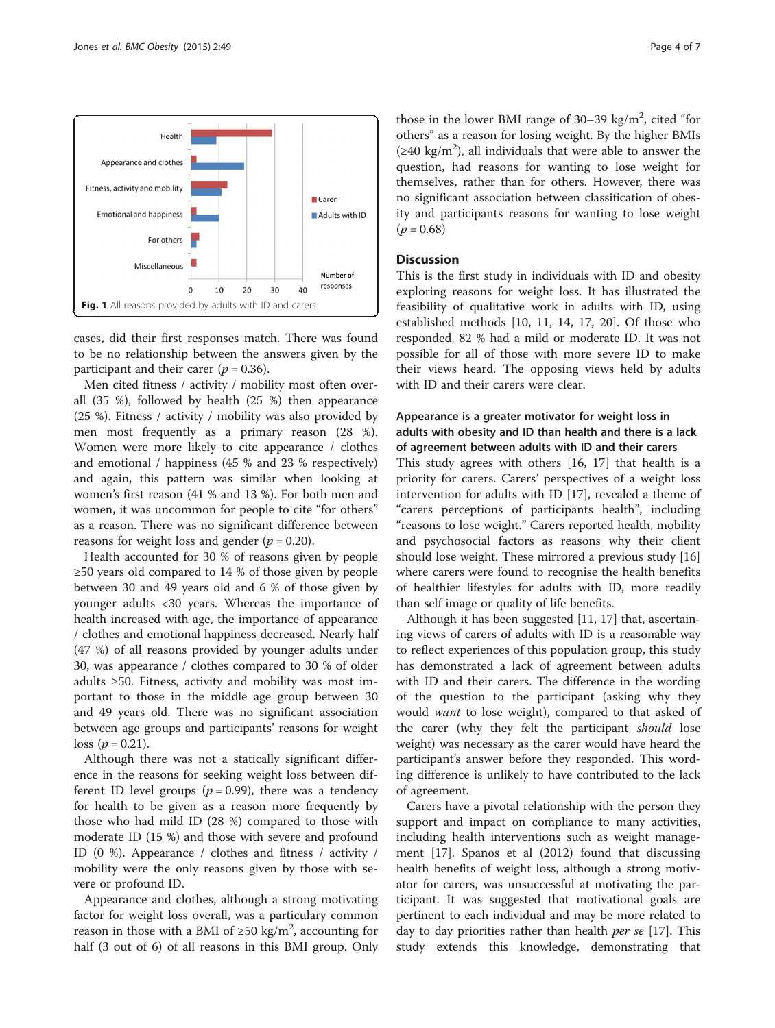<span id="page-3-0"></span>

cases, did their first responses match. There was found to be no relationship between the answers given by the participant and their carer ( $p = 0.36$ ).

Men cited fitness / activity / mobility most often overall (35 %), followed by health (25 %) then appearance (25 %). Fitness / activity / mobility was also provided by men most frequently as a primary reason (28 %). Women were more likely to cite appearance / clothes and emotional / happiness (45 % and 23 % respectively) and again, this pattern was similar when looking at women's first reason (41 % and 13 %). For both men and women, it was uncommon for people to cite "for others" as a reason. There was no significant difference between reasons for weight loss and gender ( $p = 0.20$ ).

Health accounted for 30 % of reasons given by people ≥50 years old compared to 14 % of those given by people between 30 and 49 years old and 6 % of those given by younger adults <30 years. Whereas the importance of health increased with age, the importance of appearance / clothes and emotional happiness decreased. Nearly half (47 %) of all reasons provided by younger adults under 30, was appearance / clothes compared to 30 % of older adults ≥50. Fitness, activity and mobility was most important to those in the middle age group between 30 and 49 years old. There was no significant association between age groups and participants' reasons for weight loss ( $p = 0.21$ ).

Although there was not a statically significant difference in the reasons for seeking weight loss between different ID level groups ( $p = 0.99$ ), there was a tendency for health to be given as a reason more frequently by those who had mild ID (28 %) compared to those with moderate ID (15 %) and those with severe and profound ID (0 %). Appearance / clothes and fitness / activity / mobility were the only reasons given by those with severe or profound ID.

Appearance and clothes, although a strong motivating factor for weight loss overall, was a particulary common reason in those with a BMI of ≥50 kg/m<sup>2</sup>, accounting for half (3 out of 6) of all reasons in this BMI group. Only

those in the lower BMI range of 30-39 kg/m<sup>2</sup>, cited "for others" as a reason for losing weight. By the higher BMIs (≥40 kg/m<sup>2</sup>), all individuals that were able to answer the question, had reasons for wanting to lose weight for themselves, rather than for others. However, there was no significant association between classification of obesity and participants reasons for wanting to lose weight  $(p = 0.68)$ 

# **Discussion**

This is the first study in individuals with ID and obesity exploring reasons for weight loss. It has illustrated the feasibility of qualitative work in adults with ID, using established methods [\[10](#page-5-0), [11](#page-5-0), [14,](#page-5-0) [17, 20\]](#page-6-0). Of those who responded, 82 % had a mild or moderate ID. It was not possible for all of those with more severe ID to make their views heard. The opposing views held by adults with ID and their carers were clear.

# Appearance is a greater motivator for weight loss in adults with obesity and ID than health and there is a lack of agreement between adults with ID and their carers

This study agrees with others [\[16,](#page-5-0) [17](#page-6-0)] that health is a priority for carers. Carers' perspectives of a weight loss intervention for adults with ID [[17\]](#page-6-0), revealed a theme of "carers perceptions of participants health", including "reasons to lose weight." Carers reported health, mobility and psychosocial factors as reasons why their client should lose weight. These mirrored a previous study [[16](#page-5-0)] where carers were found to recognise the health benefits of healthier lifestyles for adults with ID, more readily than self image or quality of life benefits.

Although it has been suggested [[11,](#page-5-0) [17\]](#page-6-0) that, ascertaining views of carers of adults with ID is a reasonable way to reflect experiences of this population group, this study has demonstrated a lack of agreement between adults with ID and their carers. The difference in the wording of the question to the participant (asking why they would want to lose weight), compared to that asked of the carer (why they felt the participant should lose weight) was necessary as the carer would have heard the participant's answer before they responded. This wording difference is unlikely to have contributed to the lack of agreement.

Carers have a pivotal relationship with the person they support and impact on compliance to many activities, including health interventions such as weight management [\[17](#page-6-0)]. Spanos et al (2012) found that discussing health benefits of weight loss, although a strong motivator for carers, was unsuccessful at motivating the participant. It was suggested that motivational goals are pertinent to each individual and may be more related to day to day priorities rather than health *per se* [[17\]](#page-6-0). This study extends this knowledge, demonstrating that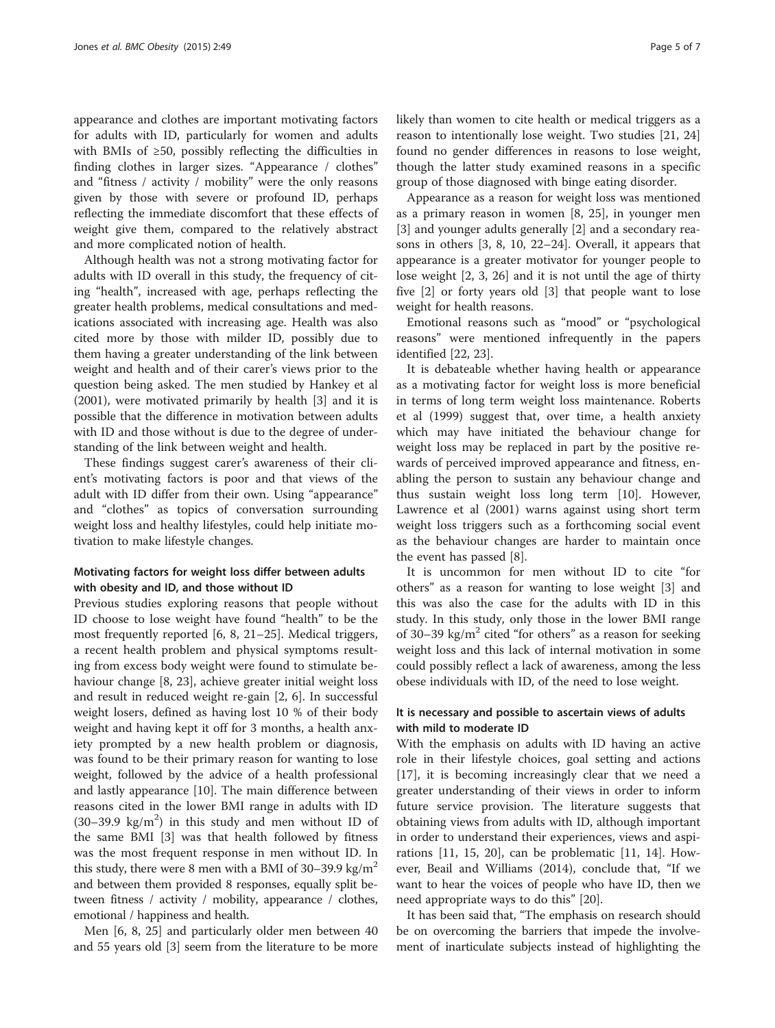appearance and clothes are important motivating factors for adults with ID, particularly for women and adults with BMIs of ≥50, possibly reflecting the difficulties in finding clothes in larger sizes. "Appearance / clothes" and "fitness / activity / mobility" were the only reasons given by those with severe or profound ID, perhaps reflecting the immediate discomfort that these effects of weight give them, compared to the relatively abstract and more complicated notion of health.

Although health was not a strong motivating factor for adults with ID overall in this study, the frequency of citing "health", increased with age, perhaps reflecting the greater health problems, medical consultations and medications associated with increasing age. Health was also cited more by those with milder ID, possibly due to them having a greater understanding of the link between weight and health and of their carer's views prior to the question being asked. The men studied by Hankey et al (2001), were motivated primarily by health [[3](#page-5-0)] and it is possible that the difference in motivation between adults with ID and those without is due to the degree of understanding of the link between weight and health.

These findings suggest carer's awareness of their client's motivating factors is poor and that views of the adult with ID differ from their own. Using "appearance" and "clothes" as topics of conversation surrounding weight loss and healthy lifestyles, could help initiate motivation to make lifestyle changes.

# Motivating factors for weight loss differ between adults with obesity and ID, and those without ID

Previous studies exploring reasons that people without ID choose to lose weight have found "health" to be the most frequently reported [\[6](#page-5-0), [8,](#page-5-0) [21](#page-6-0)–[25\]](#page-6-0). Medical triggers, a recent health problem and physical symptoms resulting from excess body weight were found to stimulate behaviour change [[8](#page-5-0), [23\]](#page-6-0), achieve greater initial weight loss and result in reduced weight re-gain [[2, 6](#page-5-0)]. In successful weight losers, defined as having lost 10 % of their body weight and having kept it off for 3 months, a health anxiety prompted by a new health problem or diagnosis, was found to be their primary reason for wanting to lose weight, followed by the advice of a health professional and lastly appearance [[10](#page-5-0)]. The main difference between reasons cited in the lower BMI range in adults with ID  $(30-39.9 \text{ kg/m}^2)$  in this study and men without ID of the same BMI [\[3](#page-5-0)] was that health followed by fitness was the most frequent response in men without ID. In this study, there were 8 men with a BMI of 30–39.9 kg/m<sup>2</sup> and between them provided 8 responses, equally split between fitness / activity / mobility, appearance / clothes, emotional / happiness and health.

Men [\[6](#page-5-0), [8](#page-5-0), [25\]](#page-6-0) and particularly older men between 40 and 55 years old [[3\]](#page-5-0) seem from the literature to be more likely than women to cite health or medical triggers as a reason to intentionally lose weight. Two studies [\[21, 24](#page-6-0)] found no gender differences in reasons to lose weight, though the latter study examined reasons in a specific group of those diagnosed with binge eating disorder.

Appearance as a reason for weight loss was mentioned as a primary reason in women [\[8](#page-5-0), [25](#page-6-0)], in younger men [[3\]](#page-5-0) and younger adults generally [[2](#page-5-0)] and a secondary reasons in others [[3, 8](#page-5-0), [10](#page-5-0), [22](#page-6-0)–[24\]](#page-6-0). Overall, it appears that appearance is a greater motivator for younger people to lose weight [[2](#page-5-0), [3,](#page-5-0) [26](#page-6-0)] and it is not until the age of thirty five [[2\]](#page-5-0) or forty years old [[3](#page-5-0)] that people want to lose weight for health reasons.

Emotional reasons such as "mood" or "psychological reasons" were mentioned infrequently in the papers identified [\[22, 23\]](#page-6-0).

It is debateable whether having health or appearance as a motivating factor for weight loss is more beneficial in terms of long term weight loss maintenance. Roberts et al (1999) suggest that, over time, a health anxiety which may have initiated the behaviour change for weight loss may be replaced in part by the positive rewards of perceived improved appearance and fitness, enabling the person to sustain any behaviour change and thus sustain weight loss long term [[10\]](#page-5-0). However, Lawrence et al (2001) warns against using short term weight loss triggers such as a forthcoming social event as the behaviour changes are harder to maintain once the event has passed [\[8\]](#page-5-0).

It is uncommon for men without ID to cite "for others" as a reason for wanting to lose weight [\[3\]](#page-5-0) and this was also the case for the adults with ID in this study. In this study, only those in the lower BMI range of 30–39 kg/m<sup>2</sup> cited "for others" as a reason for seeking weight loss and this lack of internal motivation in some could possibly reflect a lack of awareness, among the less obese individuals with ID, of the need to lose weight.

# It is necessary and possible to ascertain views of adults with mild to moderate ID

With the emphasis on adults with ID having an active role in their lifestyle choices, goal setting and actions [[17\]](#page-6-0), it is becoming increasingly clear that we need a greater understanding of their views in order to inform future service provision. The literature suggests that obtaining views from adults with ID, although important in order to understand their experiences, views and aspirations [\[11](#page-5-0), [15](#page-5-0), [20](#page-6-0)], can be problematic [\[11, 14\]](#page-5-0). However, Beail and Williams (2014), conclude that, "If we want to hear the voices of people who have ID, then we need appropriate ways to do this" [\[20](#page-6-0)].

It has been said that, "The emphasis on research should be on overcoming the barriers that impede the involvement of inarticulate subjects instead of highlighting the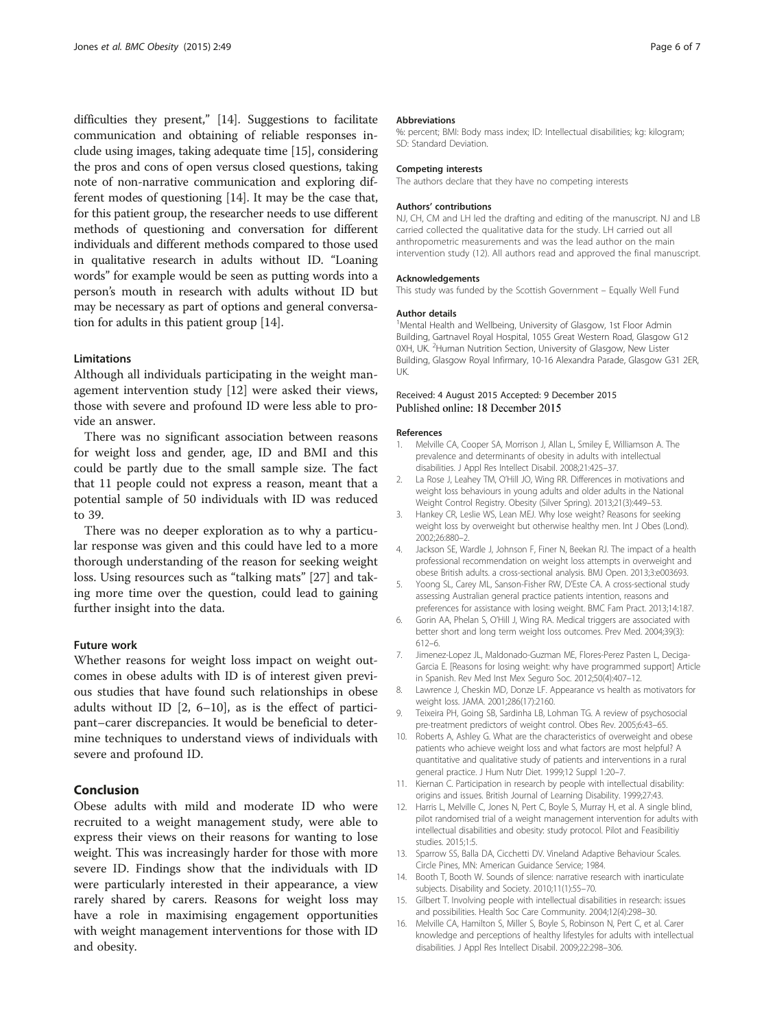<span id="page-5-0"></span>difficulties they present," [14]. Suggestions to facilitate communication and obtaining of reliable responses include using images, taking adequate time [15], considering the pros and cons of open versus closed questions, taking note of non-narrative communication and exploring different modes of questioning [14]. It may be the case that, for this patient group, the researcher needs to use different methods of questioning and conversation for different individuals and different methods compared to those used in qualitative research in adults without ID. "Loaning words" for example would be seen as putting words into a person's mouth in research with adults without ID but may be necessary as part of options and general conversation for adults in this patient group [14].

## Limitations

Although all individuals participating in the weight management intervention study [12] were asked their views, those with severe and profound ID were less able to provide an answer.

There was no significant association between reasons for weight loss and gender, age, ID and BMI and this could be partly due to the small sample size. The fact that 11 people could not express a reason, meant that a potential sample of 50 individuals with ID was reduced to 39.

There was no deeper exploration as to why a particular response was given and this could have led to a more thorough understanding of the reason for seeking weight loss. Using resources such as "talking mats" [[27\]](#page-6-0) and taking more time over the question, could lead to gaining further insight into the data.

# Future work

Whether reasons for weight loss impact on weight outcomes in obese adults with ID is of interest given previous studies that have found such relationships in obese adults without ID [2, 6–10], as is the effect of participant–carer discrepancies. It would be beneficial to determine techniques to understand views of individuals with severe and profound ID.

# Conclusion

Obese adults with mild and moderate ID who were recruited to a weight management study, were able to express their views on their reasons for wanting to lose weight. This was increasingly harder for those with more severe ID. Findings show that the individuals with ID were particularly interested in their appearance, a view rarely shared by carers. Reasons for weight loss may have a role in maximising engagement opportunities with weight management interventions for those with ID and obesity.

#### Abbreviations

%: percent; BMI: Body mass index; ID: Intellectual disabilities; kg: kilogram; SD: Standard Deviation.

#### Competing interests

The authors declare that they have no competing interests

#### Authors' contributions

NJ, CH, CM and LH led the drafting and editing of the manuscript. NJ and LB carried collected the qualitative data for the study. LH carried out all anthropometric measurements and was the lead author on the main intervention study (12). All authors read and approved the final manuscript.

#### Acknowledgements

This study was funded by the Scottish Government – Equally Well Fund

#### Author details

<sup>1</sup> Mental Health and Wellbeing, University of Glasgow, 1st Floor Admin Building, Gartnavel Royal Hospital, 1055 Great Western Road, Glasgow G12 0XH, UK. <sup>2</sup>Human Nutrition Section, University of Glasgow, New Lister Building, Glasgow Royal Infirmary, 10-16 Alexandra Parade, Glasgow G31 2ER, UK.

### Received: 4 August 2015 Accepted: 9 December 2015 Published online: 18 December 2015

#### References

- 1. Melville CA, Cooper SA, Morrison J, Allan L, Smiley E, Williamson A. The prevalence and determinants of obesity in adults with intellectual disabilities. J Appl Res Intellect Disabil. 2008;21:425–37.
- 2. La Rose J, Leahey TM, O'Hill JO, Wing RR. Differences in motivations and weight loss behaviours in young adults and older adults in the National Weight Control Registry. Obesity (Silver Spring). 2013;21(3):449–53.
- 3. Hankey CR, Leslie WS, Lean MEJ. Why lose weight? Reasons for seeking weight loss by overweight but otherwise healthy men. Int J Obes (Lond). 2002;26:880–2.
- 4. Jackson SE, Wardle J, Johnson F, Finer N, Beekan RJ. The impact of a health professional recommendation on weight loss attempts in overweight and obese British adults. a cross-sectional analysis. BMJ Open. 2013;3:e003693.
- 5. Yoong SL, Carey ML, Sanson-Fisher RW, D'Este CA. A cross-sectional study assessing Australian general practice patients intention, reasons and preferences for assistance with losing weight. BMC Fam Pract. 2013;14:187.
- 6. Gorin AA, Phelan S, O'Hill J, Wing RA. Medical triggers are associated with better short and long term weight loss outcomes. Prev Med. 2004;39(3): 612–6.
- 7. Jimenez-Lopez JL, Maldonado-Guzman ME, Flores-Perez Pasten L, Deciga-Garcia E. [Reasons for losing weight: why have programmed support] Article in Spanish. Rev Med Inst Mex Seguro Soc. 2012;50(4):407–12.
- 8. Lawrence J, Cheskin MD, Donze LF. Appearance vs health as motivators for weight loss. JAMA. 2001;286(17):2160.
- 9. Teixeira PH, Going SB, Sardinha LB, Lohman TG. A review of psychosocial pre-treatment predictors of weight control. Obes Rev. 2005;6:43–65.
- 10. Roberts A, Ashley G. What are the characteristics of overweight and obese patients who achieve weight loss and what factors are most helpful? A quantitative and qualitative study of patients and interventions in a rural general practice. J Hum Nutr Diet. 1999;12 Suppl 1:20–7.
- 11. Kiernan C. Participation in research by people with intellectual disability: origins and issues. British Journal of Learning Disability. 1999;27:43.
- 12. Harris L, Melville C, Jones N, Pert C, Boyle S, Murray H, et al. A single blind, pilot randomised trial of a weight management intervention for adults with intellectual disabilities and obesity: study protocol. Pilot and Feasibilitiy studies. 2015;1:5.
- 13. Sparrow SS, Balla DA, Cicchetti DV. Vineland Adaptive Behaviour Scales. Circle Pines, MN: American Guidance Service; 1984.
- 14. Booth T, Booth W. Sounds of silence: narrative research with inarticulate subjects. Disability and Society. 2010;11(1):55–70.
- 15. Gilbert T. Involving people with intellectual disabilities in research: issues and possibilities. Health Soc Care Community. 2004;12(4):298–30.
- 16. Melville CA, Hamilton S, Miller S, Boyle S, Robinson N, Pert C, et al. Carer knowledge and perceptions of healthy lifestyles for adults with intellectual disabilities. J Appl Res Intellect Disabil. 2009;22:298–306.